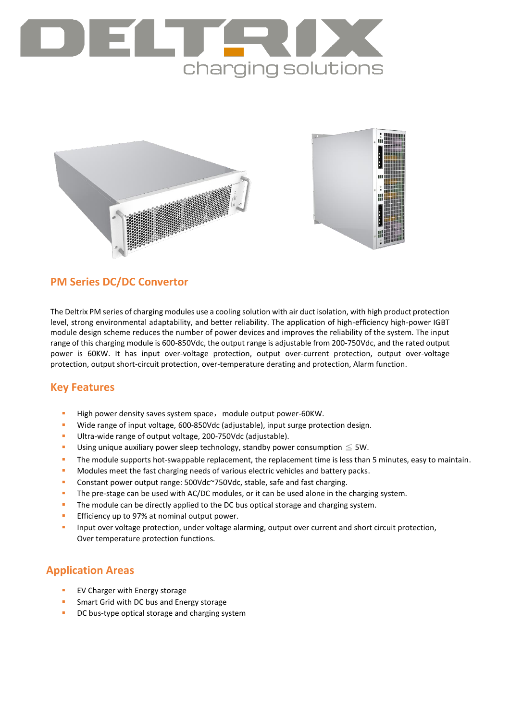



## **PM Series DC/DC Convertor**

The Deltrix PM series of charging modules use a cooling solution with air duct isolation, with high product protection level, strong environmental adaptability, and better reliability. The application of high-efficiency high-power IGBT module design scheme reduces the number of power devices and improves the reliability of the system. The input range of this charging module is 600-850Vdc, the output range is adjustable from 200-750Vdc, and the rated output power is 60KW. It has input over-voltage protection, output over-current protection, output over-voltage protection, output short-circuit protection, over-temperature derating and protection, Alarm function.

#### **Key Features**

- High power density saves system space, module output power-60KW.
- Wide range of input voltage, 600-850Vdc (adjustable), input surge protection design.
- Ultra-wide range of output voltage, 200-750Vdc (adjustable).
- Using unique auxiliary power sleep technology, standby power consumption  $\leq$  5W.
- The module supports hot-swappable replacement, the replacement time is less than 5 minutes, easy to maintain.
- **Modules meet the fast charging needs of various electric vehicles and battery packs.**
- Constant power output range: 500Vdc~750Vdc, stable, safe and fast charging.
- The pre-stage can be used with AC/DC modules, or it can be used alone in the charging system.
- The module can be directly applied to the DC bus optical storage and charging system.
- **Efficiency up to 97% at nominal output power.**
- Input over voltage protection, under voltage alarming, output over current and short circuit protection, Over temperature protection functions.

## **Application Areas**

- EV Charger with Energy storage
- Smart Grid with DC bus and Energy storage
- DC bus-type optical storage and charging system